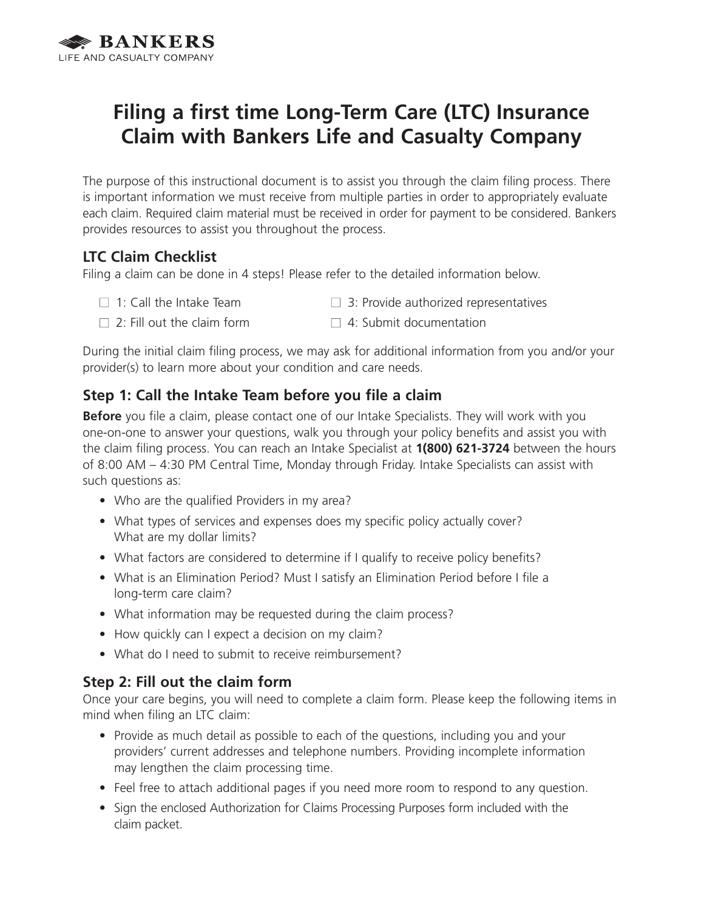

# **Filing a first time Long-Term Care (LTC) Insurance Claim with Bankers Life and Casualty Company**

The purpose of this instructional document is to assist you through the claim filing process. There is important information we must receive from multiple parties in order to appropriately evaluate each claim. Required claim material must be received in order for payment to be considered. Bankers provides resources to assist you throughout the process.

## **LTC Claim Checklist**

Filing a claim can be done in 4 steps! Please refer to the detailed information below.

- 
- $\Box$  1: Call the Intake Team  $\Box$  3: Provide authorized representatives
- 
- $\Box$  2: Fill out the claim form  $\Box$  4: Submit documentation

During the initial claim filing process, we may ask for additional information from you and/or your provider(s) to learn more about your condition and care needs.

## **Step 1: Call the Intake Team before you file a claim**

**Before** you file a claim, please contact one of our Intake Specialists. They will work with you one-on-one to answer your questions, walk you through your policy benefits and assist you with the claim filing process. You can reach an Intake Specialist at **1(800) 621-3724** between the hours of 8:00 AM – 4:30 PM Central Time, Monday through Friday. Intake Specialists can assist with such questions as:

- Who are the qualified Providers in my area?
- What types of services and expenses does my specific policy actually cover? What are my dollar limits?
- What factors are considered to determine if I qualify to receive policy benefits?
- What is an Elimination Period? Must I satisfy an Elimination Period before I file a long-term care claim?
- What information may be requested during the claim process?
- How quickly can I expect a decision on my claim?
- What do I need to submit to receive reimbursement?

## **Step 2: Fill out the claim form**

Once your care begins, you will need to complete a claim form. Please keep the following items in mind when filing an LTC claim:

- Provide as much detail as possible to each of the questions, including you and your providers' current addresses and telephone numbers. Providing incomplete information may lengthen the claim processing time.
- Feel free to attach additional pages if you need more room to respond to any question.
- Sign the enclosed Authorization for Claims Processing Purposes form included with the claim packet.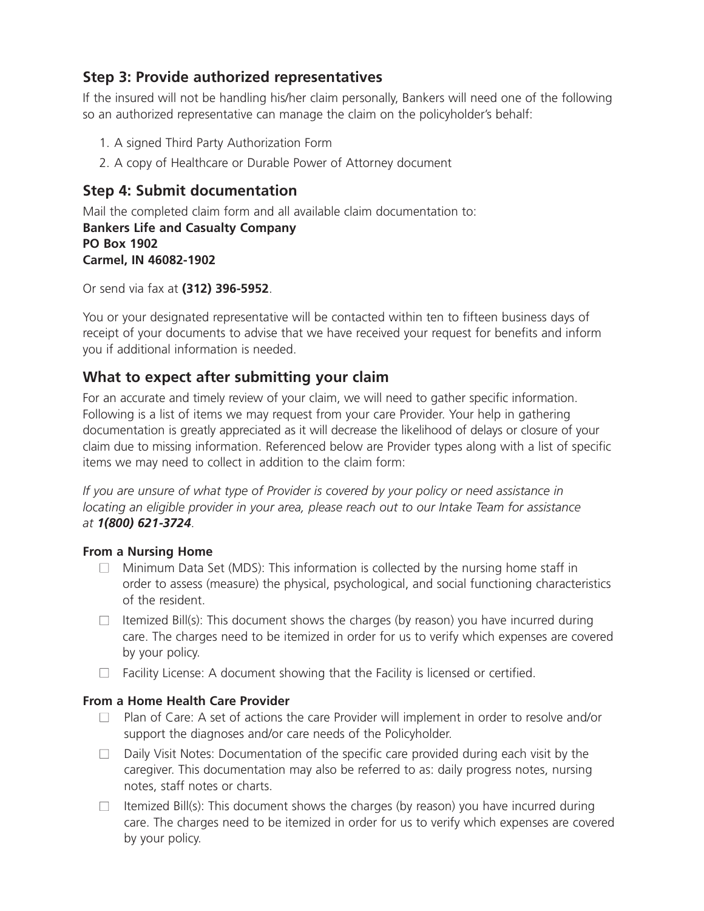## **Step 3: Provide authorized representatives**

If the insured will not be handling his/her claim personally, Bankers will need one of the following so an authorized representative can manage the claim on the policyholder's behalf:

- 1. A signed Third Party Authorization Form
- 2. A copy of Healthcare or Durable Power of Attorney document

## **Step 4: Submit documentation**

Mail the completed claim form and all available claim documentation to: **Bankers Life and Casualty Company PO Box 1902 Carmel, IN 46082-1902**

Or send via fax at **(312) 396-5952**.

You or your designated representative will be contacted within ten to fifteen business days of receipt of your documents to advise that we have received your request for benefits and inform you if additional information is needed.

## **What to expect after submitting your claim**

For an accurate and timely review of your claim, we will need to gather specific information. Following is a list of items we may request from your care Provider. Your help in gathering documentation is greatly appreciated as it will decrease the likelihood of delays or closure of your claim due to missing information. Referenced below are Provider types along with a list of specific items we may need to collect in addition to the claim form:

*If you are unsure of what type of Provider is covered by your policy or need assistance in locating an eligible provider in your area, please reach out to our Intake Team for assistance at 1(800) 621-3724*.

## **From a Nursing Home**

- $\Box$  Minimum Data Set (MDS): This information is collected by the nursing home staff in order to assess (measure) the physical, psychological, and social functioning characteristics of the resident.
- $\Box$  Itemized Bill(s): This document shows the charges (by reason) you have incurred during care. The charges need to be itemized in order for us to verify which expenses are covered by your policy.
- $\Box$  Facility License: A document showing that the Facility is licensed or certified.

## **From a Home Health Care Provider**

- $\Box$  Plan of Care: A set of actions the care Provider will implement in order to resolve and/or support the diagnoses and/or care needs of the Policyholder.
- $\Box$  Daily Visit Notes: Documentation of the specific care provided during each visit by the caregiver. This documentation may also be referred to as: daily progress notes, nursing notes, staff notes or charts.
- $\Box$  Itemized Bill(s): This document shows the charges (by reason) you have incurred during care. The charges need to be itemized in order for us to verify which expenses are covered by your policy.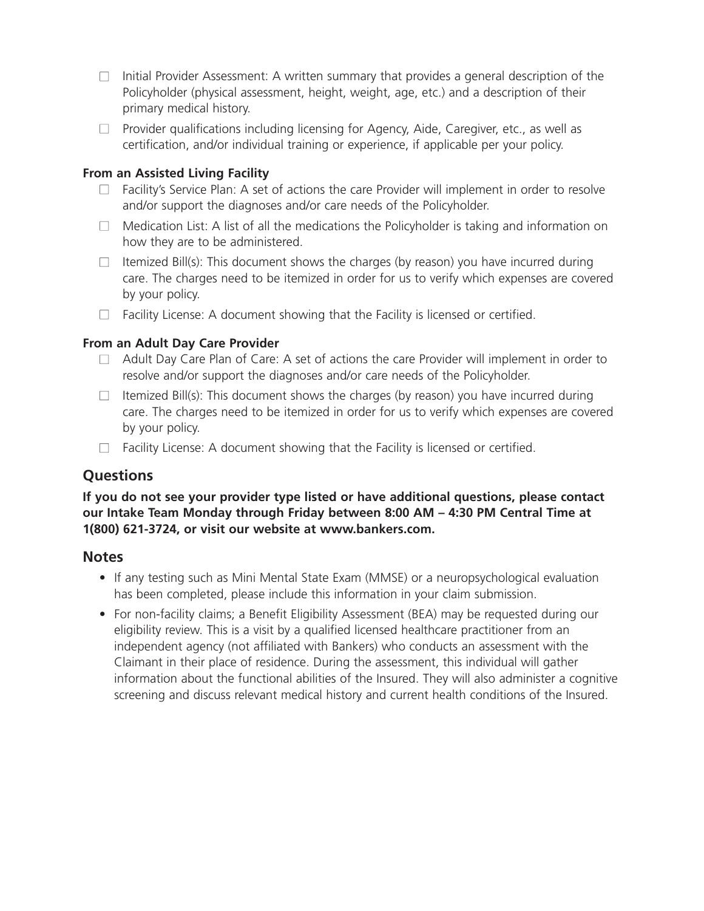- $\Box$  Initial Provider Assessment: A written summary that provides a general description of the Policyholder (physical assessment, height, weight, age, etc.) and a description of their primary medical history.
- $\Box$  Provider qualifications including licensing for Agency, Aide, Caregiver, etc., as well as certification, and/or individual training or experience, if applicable per your policy.

#### **From an Assisted Living Facility**

- $\Box$  Facility's Service Plan: A set of actions the care Provider will implement in order to resolve and/or support the diagnoses and/or care needs of the Policyholder.
- $\Box$  Medication List: A list of all the medications the Policyholder is taking and information on how they are to be administered.
- $\Box$  Itemized Bill(s): This document shows the charges (by reason) you have incurred during care. The charges need to be itemized in order for us to verify which expenses are covered by your policy.
- $\Box$  Facility License: A document showing that the Facility is licensed or certified.

#### **From an Adult Day Care Provider**

- $\Box$  Adult Day Care Plan of Care: A set of actions the care Provider will implement in order to resolve and/or support the diagnoses and/or care needs of the Policyholder.
- $\Box$  Itemized Bill(s): This document shows the charges (by reason) you have incurred during care. The charges need to be itemized in order for us to verify which expenses are covered by your policy.
- $\Box$  Facility License: A document showing that the Facility is licensed or certified.

## **Questions**

#### **If you do not see your provider type listed or have additional questions, please contact our Intake Team Monday through Friday between 8:00 AM – 4:30 PM Central Time at 1(800) 621-3724, or visit our website at www.bankers.com.**

### **Notes**

- If any testing such as Mini Mental State Exam (MMSE) or a neuropsychological evaluation has been completed, please include this information in your claim submission.
- For non-facility claims; a Benefit Eligibility Assessment (BEA) may be requested during our eligibility review. This is a visit by a qualified licensed healthcare practitioner from an independent agency (not affiliated with Bankers) who conducts an assessment with the Claimant in their place of residence. During the assessment, this individual will gather information about the functional abilities of the Insured. They will also administer a cognitive screening and discuss relevant medical history and current health conditions of the Insured.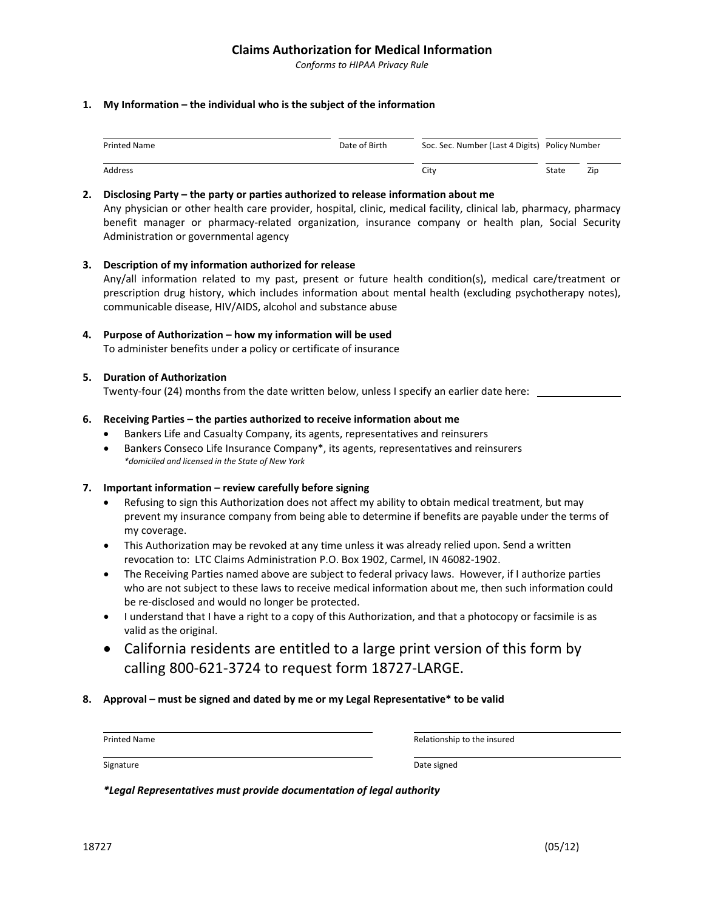#### **Claims Authorization for Medical Information**

*Conforms to HIPAA Privacy Rule*

#### **1. My Information – the individual who is the subject of the information**

| <b>Printed Name</b> | Date of Birth | Soc. Sec. Number (Last 4 Digits) Policy Number |       |     |
|---------------------|---------------|------------------------------------------------|-------|-----|
| Address             |               | City                                           | State | Zip |

#### **2. Disclosing Party – the party or parties authorized to release information about me**

Any physician or other health care provider, hospital, clinic, medical facility, clinical lab, pharmacy, pharmacy benefit manager or pharmacy-related organization, insurance company or health plan, Social Security Administration or governmental agency

#### **3. Description of my information authorized for release**

Any/all information related to my past, present or future health condition(s), medical care/treatment or prescription drug history, which includes information about mental health (excluding psychotherapy notes), communicable disease, HIV/AIDS, alcohol and substance abuse

**4. Purpose of Authorization – how my information will be used** To administer benefits under a policy or certificate of insurance

#### **5. Duration of Authorization**

Twenty-four (24) months from the date written below, unless I specify an earlier date here: \_\_\_

#### **6. Receiving Parties – the parties authorized to receive information about me**

- Bankers Life and Casualty Company, its agents, representatives and reinsurers
- Bankers Conseco Life Insurance Company\*, its agents, representatives and reinsurers *\*domiciled and licensed in the State of New York*

#### **7. Important information – review carefully before signing**

- Refusing to sign this Authorization does not affect my ability to obtain medical treatment, but may prevent my insurance company from being able to determine if benefits are payable under the terms of my coverage.
- This Authorization may be revoked at any time unless it was already relied upon. Send a written revocation to: LTC Claims Administration P.O. Box 1902, Carmel, IN 46082‐1902.
- The Receiving Parties named above are subject to federal privacy laws. However, if I authorize parties who are not subject to these laws to receive medical information about me, then such information could be re‐disclosed and would no longer be protected.
- I understand that I have a right to a copy of this Authorization, and that a photocopy or facsimile is as valid as the original.
- California residents are entitled to a large print version of this form by calling 800‐621‐3724 to request form 18727‐LARGE.

#### **8. Approval – must be signed and dated by me or my Legal Representative\* to be valid**

| <b>Printed Name</b> | Relationship to the insured |
|---------------------|-----------------------------|
|                     |                             |
| Signature           | Date signed                 |

*\*Legal Representatives must provide documentation of legal authority*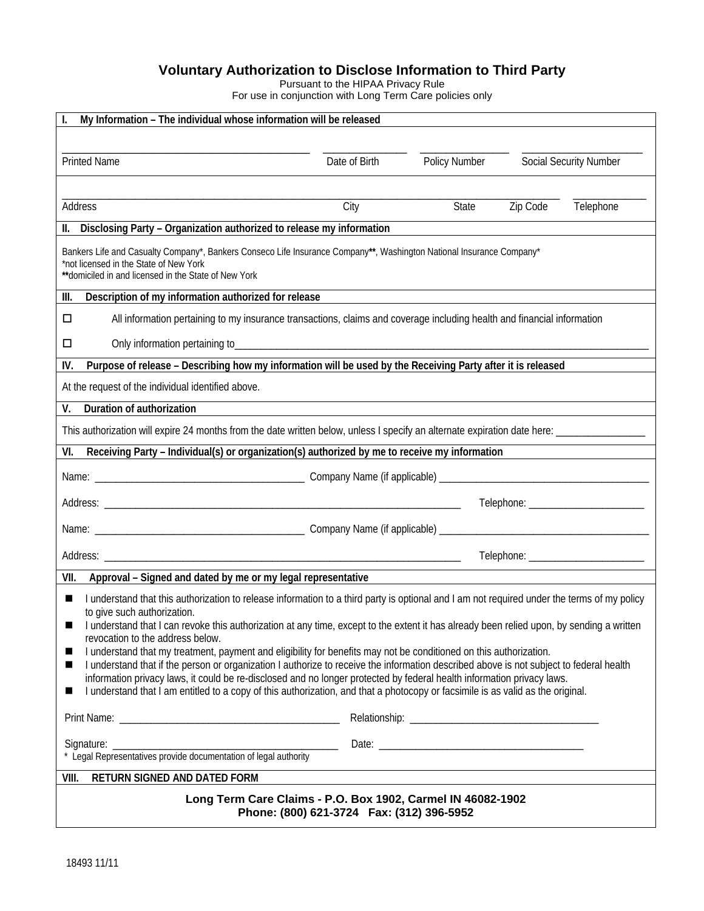#### **Voluntary Authorization to Disclose Information to Third Party**

Pursuant to the HIPAA Privacy Rule

For use in conjunction with Long Term Care policies only

| My Information - The individual whose information will be released                                                                                                                                                                                                      |                                                                                                                         |               |          |                        |  |
|-------------------------------------------------------------------------------------------------------------------------------------------------------------------------------------------------------------------------------------------------------------------------|-------------------------------------------------------------------------------------------------------------------------|---------------|----------|------------------------|--|
|                                                                                                                                                                                                                                                                         |                                                                                                                         |               |          |                        |  |
| <b>Printed Name</b>                                                                                                                                                                                                                                                     | Date of Birth                                                                                                           | Policy Number |          | Social Security Number |  |
|                                                                                                                                                                                                                                                                         |                                                                                                                         |               |          |                        |  |
| Address                                                                                                                                                                                                                                                                 | City                                                                                                                    | State         | Zip Code | Telephone              |  |
| Disclosing Party - Organization authorized to release my information                                                                                                                                                                                                    |                                                                                                                         |               |          |                        |  |
| Bankers Life and Casualty Company*, Bankers Conseco Life Insurance Company**, Washington National Insurance Company*<br>*not licensed in the State of New York<br>**domiciled in and licensed in the State of New York                                                  |                                                                                                                         |               |          |                        |  |
| Description of my information authorized for release<br>III.                                                                                                                                                                                                            |                                                                                                                         |               |          |                        |  |
| □                                                                                                                                                                                                                                                                       | All information pertaining to my insurance transactions, claims and coverage including health and financial information |               |          |                        |  |
| □                                                                                                                                                                                                                                                                       |                                                                                                                         |               |          |                        |  |
| Purpose of release - Describing how my information will be used by the Receiving Party after it is released<br>IV.                                                                                                                                                      |                                                                                                                         |               |          |                        |  |
| At the request of the individual identified above.                                                                                                                                                                                                                      |                                                                                                                         |               |          |                        |  |
| Duration of authorization<br>V.                                                                                                                                                                                                                                         |                                                                                                                         |               |          |                        |  |
| This authorization will expire 24 months from the date written below, unless I specify an alternate expiration date here: _____________                                                                                                                                 |                                                                                                                         |               |          |                        |  |
| Receiving Party - Individual(s) or organization(s) authorized by me to receive my information<br>VI.                                                                                                                                                                    |                                                                                                                         |               |          |                        |  |
|                                                                                                                                                                                                                                                                         |                                                                                                                         |               |          |                        |  |
|                                                                                                                                                                                                                                                                         |                                                                                                                         |               |          |                        |  |
|                                                                                                                                                                                                                                                                         |                                                                                                                         |               |          |                        |  |
|                                                                                                                                                                                                                                                                         |                                                                                                                         |               |          |                        |  |
| Approval - Signed and dated by me or my legal representative<br>VII.                                                                                                                                                                                                    |                                                                                                                         |               |          |                        |  |
| I understand that this authorization to release information to a third party is optional and I am not required under the terms of my policy<br>ш                                                                                                                        |                                                                                                                         |               |          |                        |  |
| to give such authorization.<br>I understand that I can revoke this authorization at any time, except to the extent it has already been relied upon, by sending a written                                                                                                |                                                                                                                         |               |          |                        |  |
| revocation to the address below.                                                                                                                                                                                                                                        |                                                                                                                         |               |          |                        |  |
| I understand that my treatment, payment and eligibility for benefits may not be conditioned on this authorization.<br>ш<br>I understand that if the person or organization I authorize to receive the information described above is not subject to federal health<br>ш |                                                                                                                         |               |          |                        |  |
| information privacy laws, it could be re-disclosed and no longer protected by federal health information privacy laws.                                                                                                                                                  |                                                                                                                         |               |          |                        |  |
| I understand that I am entitled to a copy of this authorization, and that a photocopy or facsimile is as valid as the original.<br>ш                                                                                                                                    |                                                                                                                         |               |          |                        |  |
|                                                                                                                                                                                                                                                                         |                                                                                                                         |               |          |                        |  |
| Signature: _                                                                                                                                                                                                                                                            |                                                                                                                         |               |          |                        |  |
| Legal Representatives provide documentation of legal authority                                                                                                                                                                                                          |                                                                                                                         |               |          |                        |  |
| RETURN SIGNED AND DATED FORM<br>VIII.                                                                                                                                                                                                                                   |                                                                                                                         |               |          |                        |  |
| Long Term Care Claims - P.O. Box 1902, Carmel IN 46082-1902                                                                                                                                                                                                             |                                                                                                                         |               |          |                        |  |
| Phone: (800) 621-3724    Fax: (312) 396-5952                                                                                                                                                                                                                            |                                                                                                                         |               |          |                        |  |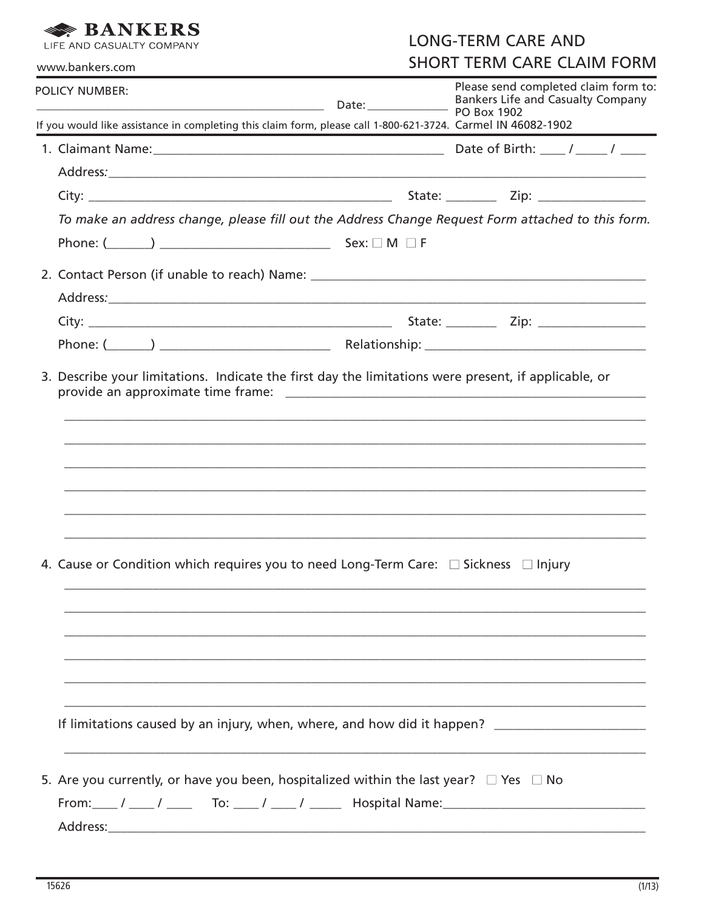#### **SANKERS** LIFE AND CASUALTY COMPANY

**LONG-TERM CARE AND SHORT TERM CARE CLAIM FORM** 

| www.bankers.com                                                                                                                                                                                                                                                                                                                                                                                               | SHUKI TEKIVI CAKE CLAIIVI FUKIVI                                                 |  |  |
|---------------------------------------------------------------------------------------------------------------------------------------------------------------------------------------------------------------------------------------------------------------------------------------------------------------------------------------------------------------------------------------------------------------|----------------------------------------------------------------------------------|--|--|
| <b>POLICY NUMBER:</b><br>Bankers Life & Bankers Life & Bankers Life & Bankers Life & Bankers Life & Bankers Life & Bankers Life & Bankers Life & Bankers Life & Bankers Life & Bankers Life & Bankers Life & Bankers Life & Bankers Life & Bankers Life                                                                                                                                                       | Please send completed claim form to:<br><b>Bankers Life and Casualty Company</b> |  |  |
| If you would like assistance in completing this claim form, please call 1-800-621-3724. Carmel IN 46082-1902                                                                                                                                                                                                                                                                                                  |                                                                                  |  |  |
|                                                                                                                                                                                                                                                                                                                                                                                                               |                                                                                  |  |  |
|                                                                                                                                                                                                                                                                                                                                                                                                               |                                                                                  |  |  |
|                                                                                                                                                                                                                                                                                                                                                                                                               |                                                                                  |  |  |
| To make an address change, please fill out the Address Change Request Form attached to this form.                                                                                                                                                                                                                                                                                                             |                                                                                  |  |  |
|                                                                                                                                                                                                                                                                                                                                                                                                               |                                                                                  |  |  |
|                                                                                                                                                                                                                                                                                                                                                                                                               |                                                                                  |  |  |
|                                                                                                                                                                                                                                                                                                                                                                                                               |                                                                                  |  |  |
|                                                                                                                                                                                                                                                                                                                                                                                                               |                                                                                  |  |  |
|                                                                                                                                                                                                                                                                                                                                                                                                               |                                                                                  |  |  |
| 3. Describe your limitations. Indicate the first day the limitations were present, if applicable, or                                                                                                                                                                                                                                                                                                          |                                                                                  |  |  |
| 4. Cause or Condition which requires you to need Long-Term Care: $\Box$ Sickness $\Box$ Injury                                                                                                                                                                                                                                                                                                                |                                                                                  |  |  |
| If limitations caused by an injury, when, where, and how did it happen? ____________________________                                                                                                                                                                                                                                                                                                          |                                                                                  |  |  |
| 5. Are you currently, or have you been, hospitalized within the last year? $\Box$ Yes $\Box$ No<br>From: $\frac{1}{2}$ / $\frac{1}{2}$ To: $\frac{1}{2}$ / $\frac{1}{2}$ Hospital Name: $\frac{1}{2}$ $\frac{1}{2}$ $\frac{1}{2}$ $\frac{1}{2}$ $\frac{1}{2}$ $\frac{1}{2}$ $\frac{1}{2}$ $\frac{1}{2}$ $\frac{1}{2}$ $\frac{1}{2}$ $\frac{1}{2}$ $\frac{1}{2}$ $\frac{1}{2}$ $\frac{1}{2}$ $\frac{1}{2}$ $\$ |                                                                                  |  |  |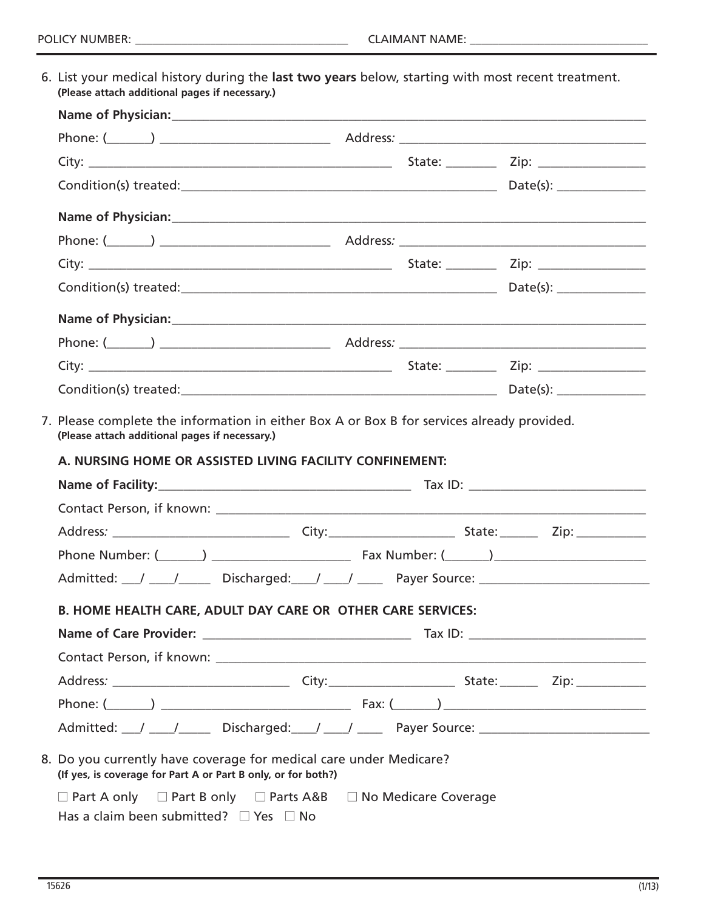6. List your medical history during the **last two years** below, starting with most recent treatment. **(Please attach additional pages if necessary.)**

| Phone Number: (Comparison Latin Comparison Latin Comparison Latin Comparison Latin Comparison Latin Comparison                      |  |  |
|-------------------------------------------------------------------------------------------------------------------------------------|--|--|
| Admitted: 1 1 1 1 Discharged: 1 1 2 Payer Source: 1 2 Payer Source: 2 2 Payer Source:                                               |  |  |
| <b>B. HOME HEALTH CARE, ADULT DAY CARE OR OTHER CARE SERVICES:</b>                                                                  |  |  |
|                                                                                                                                     |  |  |
|                                                                                                                                     |  |  |
|                                                                                                                                     |  |  |
|                                                                                                                                     |  |  |
|                                                                                                                                     |  |  |
| 8. Do you currently have coverage for medical care under Medicare?<br>(If yes, is coverage for Part A or Part B only, or for both?) |  |  |
| $\Box$ Part A only $\Box$ Part B only $\Box$ Parts A&B $\Box$ No Medicare Coverage                                                  |  |  |
| Has a claim been submitted? $\Box$ Yes $\Box$ No                                                                                    |  |  |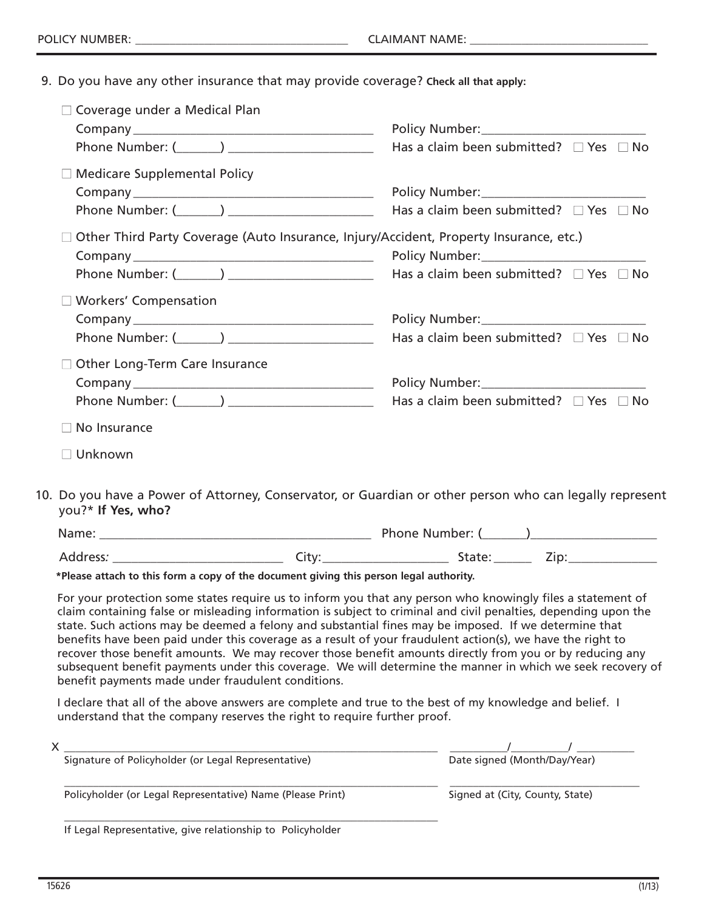9. Do you have any other insurance that may provide coverage? **Check all that apply:**

| $\Box$ Coverage under a Medical Plan                                                                    |                                                  |
|---------------------------------------------------------------------------------------------------------|--------------------------------------------------|
|                                                                                                         |                                                  |
|                                                                                                         | Has a claim been submitted? $\Box$ Yes $\Box$ No |
| $\Box$ Medicare Supplemental Policy                                                                     |                                                  |
|                                                                                                         |                                                  |
|                                                                                                         | Has a claim been submitted? $\Box$ Yes $\Box$ No |
| $\Box$ Other Third Party Coverage (Auto Insurance, Injury/Accident, Property Insurance, etc.)           |                                                  |
|                                                                                                         |                                                  |
|                                                                                                         | Has a claim been submitted? $\Box$ Yes $\Box$ No |
| $\Box$ Workers' Compensation                                                                            |                                                  |
|                                                                                                         | Policy Number: _____________________________     |
|                                                                                                         | Has a claim been submitted? $\Box$ Yes $\Box$ No |
| $\Box$ Other Long-Term Care Insurance                                                                   |                                                  |
|                                                                                                         |                                                  |
|                                                                                                         | Has a claim been submitted? $\Box$ Yes $\Box$ No |
| No Insurance<br>$\Box$                                                                                  |                                                  |
| $\Box$ Unknown                                                                                          |                                                  |
| De correlato e Decorre el Attención Centramientos en Correlles en ethecarementos colea en la sello sent |                                                  |

10. Do you have a Power of Attorney, Conservator, or Guardian or other person who can legally represent you?\* **If Yes, who?**

| Name:    |   | <b>Phone Number:</b> |        |
|----------|---|----------------------|--------|
| Address: | ◡ | <u>Jiuli</u>         | $\sim$ |

**\*Please attach to this form a copy of the document giving this person legal authority.**

For your protection some states require us to inform you that any person who knowingly files a statement of claim containing false or misleading information is subject to criminal and civil penalties, depending upon the state. Such actions may be deemed a felony and substantial fines may be imposed. If we determine that benefits have been paid under this coverage as a result of your fraudulent action(s), we have the right to recover those benefit amounts. We may recover those benefit amounts directly from you or by reducing any subsequent benefit payments under this coverage. We will determine the manner in which we seek recovery of benefit payments made under fraudulent conditions.

I declare that all of the above answers are complete and true to the best of my knowledge and belief. I understand that the company reserves the right to require further proof.

| Λ                                                          |                                 |
|------------------------------------------------------------|---------------------------------|
| Signature of Policyholder (or Legal Representative)        | Date signed (Month/Day/Year)    |
| Policyholder (or Legal Representative) Name (Please Print) | Signed at (City, County, State) |
| .                                                          |                                 |

If Legal Representative, give relationship to Policyholder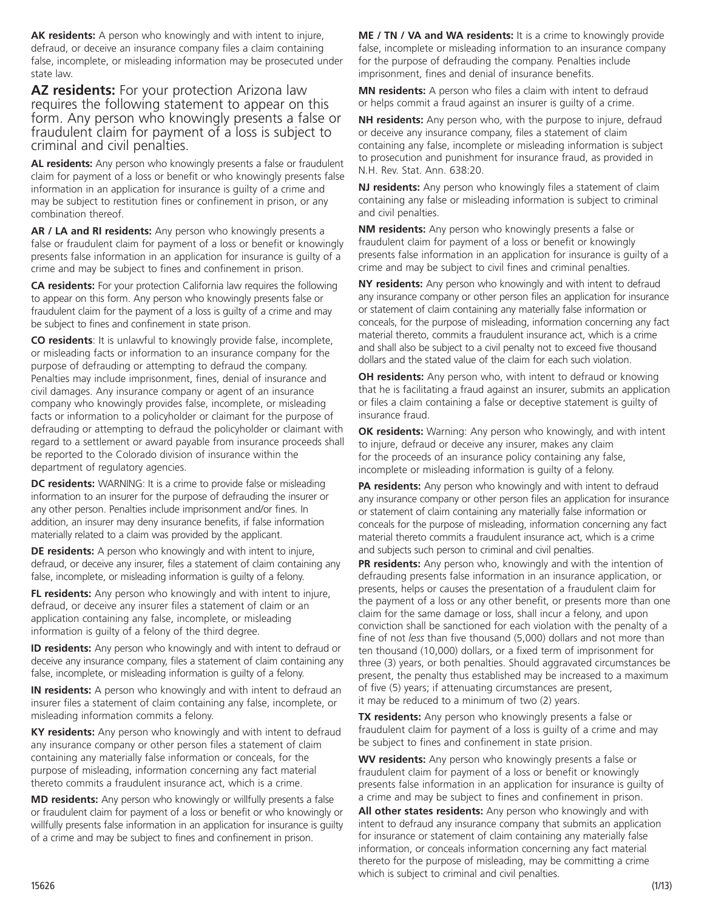**AK residents:** A person who knowingly and with intent to injure, defraud, or deceive an insurance company files a claim containing false, incomplete, or misleading information may be prosecuted under state law.

**AZ residents:** For your protection Arizona law requires the following statement to appear on this form. Any person who knowingly presents a false or fraudulent claim for payment of a loss is subject to criminal and civil penalties.

**AL residents:** Any person who knowingly presents a false or fraudulent claim for payment of a loss or benefit or who knowingly presents false information in an application for insurance is guilty of a crime and may be subject to restitution fines or confinement in prison, or any combination thereof.

**AR / LA and RI residents:** Any person who knowingly presents a false or fraudulent claim for payment of a loss or benefit or knowingly presents false information in an application for insurance is guilty of a crime and may be subject to fines and confinement in prison.

**CA residents:** For your protection California law requires the following to appear on this form. Any person who knowingly presents false or fraudulent claim for the payment of a loss is guilty of a crime and may be subject to fines and confinement in state prison.

**CO residents**: It is unlawful to knowingly provide false, incomplete, or misleading facts or information to an insurance company for the purpose of defrauding or attempting to defraud the company. Penalties may include imprisonment, fines, denial of insurance and civil damages. Any insurance company or agent of an insurance company who knowingly provides false, incomplete, or misleading facts or information to a policyholder or claimant for the purpose of defrauding or attempting to defraud the policyholder or claimant with regard to a settlement or award payable from insurance proceeds shall be reported to the Colorado division of insurance within the department of regulatory agencies.

**DC residents:** WARNING: It is a crime to provide false or misleading information to an insurer for the purpose of defrauding the insurer or any other person. Penalties include imprisonment and/or fines. In addition, an insurer may deny insurance benefits, if false information materially related to a claim was provided by the applicant.

**DE residents:** A person who knowingly and with intent to injure, defraud, or deceive any insurer, files a statement of claim containing any false, incomplete, or misleading information is guilty of a felony.

**FL residents:** Any person who knowingly and with intent to injure, defraud, or deceive any insurer files a statement of claim or an application containing any false, incomplete, or misleading information is guilty of a felony of the third degree.

**ID residents:** Any person who knowingly and with intent to defraud or deceive any insurance company, files a statement of claim containing any false, incomplete, or misleading information is guilty of a felony.

**IN residents:** A person who knowingly and with intent to defraud an insurer files a statement of claim containing any false, incomplete, or misleading information commits a felony.

**KY residents:** Any person who knowingly and with intent to defraud any insurance company or other person files a statement of claim containing any materially false information or conceals, for the purpose of misleading, information concerning any fact material thereto commits a fraudulent insurance act, which is a crime.

**MD residents:** Any person who knowingly or willfully presents a false or fraudulent claim for payment of a loss or benefit or who knowingly or willfully presents false information in an application for insurance is guilty of a crime and may be subject to fines and confinement in prison.

**ME / TN / VA and WA residents:** It is a crime to knowingly provide false, incomplete or misleading information to an insurance company for the purpose of defrauding the company. Penalties include imprisonment, fines and denial of insurance benefits.

**MN residents:** A person who files a claim with intent to defraud or helps commit a fraud against an insurer is guilty of a crime.

**NH residents:** Any person who, with the purpose to injure, defraud or deceive any insurance company, files a statement of claim containing any false, incomplete or misleading information is subject to prosecution and punishment for insurance fraud, as provided in N.H. Rev. Stat. Ann. 638:20.

**NJ residents:** Any person who knowingly files a statement of claim containing any false or misleading information is subject to criminal and civil penalties.

**NM residents:** Any person who knowingly presents a false or fraudulent claim for payment of a loss or benefit or knowingly presents false information in an application for insurance is guilty of a crime and may be subject to civil fines and criminal penalties.

**NY residents:** Any person who knowingly and with intent to defraud any insurance company or other person files an application for insurance or statement of claim containing any materially false information or conceals, for the purpose of misleading, information concerning any fact material thereto, commits a fraudulent insurance act, which is a crime and shall also be subject to a civil penalty not to exceed five thousand dollars and the stated value of the claim for each such violation.

**OH residents:** Any person who, with intent to defraud or knowing that he is facilitating a fraud against an insurer, submits an application or files a claim containing a false or deceptive statement is guilty of insurance fraud.

**OK residents:** Warning: Any person who knowingly, and with intent to injure, defraud or deceive any insurer, makes any claim for the proceeds of an insurance policy containing any false, incomplete or misleading information is guilty of a felony.

**PA residents:** Any person who knowingly and with intent to defraud any insurance company or other person files an application for insurance or statement of claim containing any materially false information or conceals for the purpose of misleading, information concerning any fact material thereto commits a fraudulent insurance act, which is a crime and subjects such person to criminal and civil penalties.

**PR residents:** Any person who, knowingly and with the intention of defrauding presents false information in an insurance application, or presents, helps or causes the presentation of a fraudulent claim for the payment of a loss or any other benefit, or presents more than one claim for the same damage or loss, shall incur a felony, and upon conviction shall be sanctioned for each violation with the penalty of a fine of not *less* than five thousand (5,000) dollars and not more than ten thousand (10,000) dollars, or a fixed term of imprisonment for three (3) years, or both penalties. Should aggravated circumstances be present, the penalty thus established may be increased to a maximum of five (5) years; if attenuating circumstances are present, it may be reduced to a minimum of two (2) years.

**TX residents:** Any person who knowingly presents a false or fraudulent claim for payment of a loss is guilty of a crime and may be subject to fines and confinement in state prision.

**WV residents:** Any person who knowingly presents a false or fraudulent claim for payment of a loss or benefit or knowingly presents false information in an application for insurance is guilty of a crime and may be subject to fines and confinement in prison.

**All other states residents:** Any person who knowingly and with intent to defraud any insurance company that submits an application for insurance or statement of claim containing any materially false information, or conceals information concerning any fact material thereto for the purpose of misleading, may be committing a crime which is subject to criminal and civil penalties.